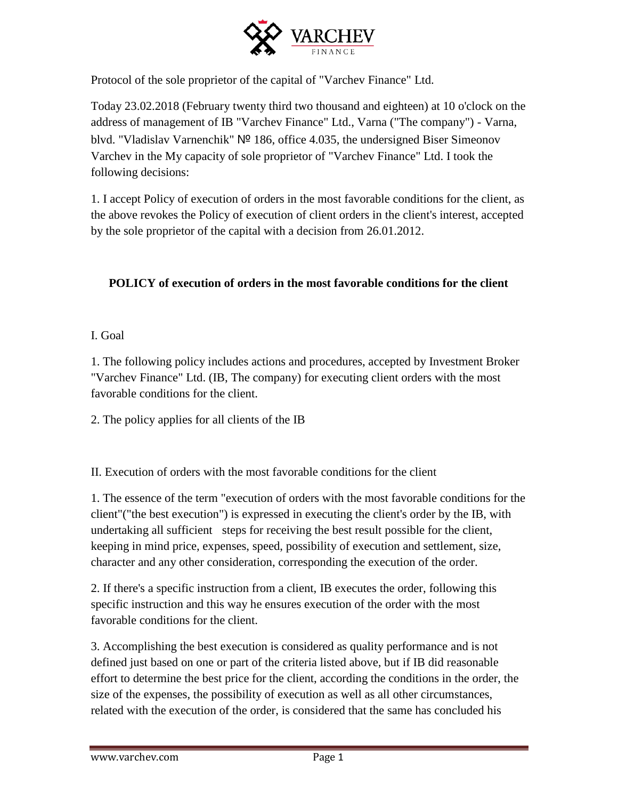

Protocol of the sole proprietor of the capital of "Varchev Finance" Ltd.

Today 23.02.2018 (February twenty third two thousand and eighteen) at 10 o'clock on the address of management of IB "Varchev Finance" Ltd., Varna ("The company") - Varna, blvd. "Vladislav Varnenchik" № 186, office 4.035, the undersigned Biser Simeonov Varchev in the My capacity of sole proprietor of "Varchev Finance" Ltd. I took the following decisions:

1. I accept Policy of execution of orders in the most favorable conditions for the client, as the above revokes the Policy of execution of client orders in the client's interest, accepted by the sole proprietor of the capital with a decision from 26.01.2012.

## **POLICY of execution of orders in the most favorable conditions for the client**

### I. Goal

1. The following policy includes actions and procedures, accepted by Investment Broker "Varchev Finance" Ltd. (IB, The company) for executing client orders with the most favorable conditions for the client.

2. The policy applies for all clients of the IB

II. Execution of orders with the most favorable conditions for the client

1. The essence of the term "execution of orders with the most favorable conditions for the client"("the best execution") is expressed in executing the client's order by the IB, with undertaking all sufficient steps for receiving the best result possible for the client, keeping in mind price, expenses, speed, possibility of execution and settlement, size, character and any other consideration, corresponding the execution of the order.

2. If there's a specific instruction from a client, IB executes the order, following this specific instruction and this way he ensures execution of the order with the most favorable conditions for the client.

3. Accomplishing the best execution is considered as quality performance and is not defined just based on one or part of the criteria listed above, but if IB did reasonable effort to determine the best price for the client, according the conditions in the order, the size of the expenses, the possibility of execution as well as all other circumstances, related with the execution of the order, is considered that the same has concluded his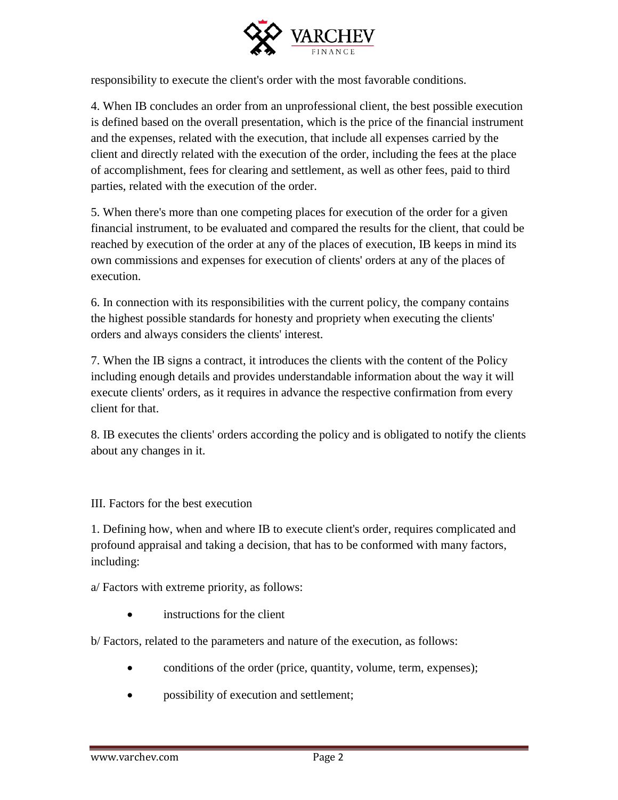

responsibility to execute the client's order with the most favorable conditions.

4. When IB concludes an order from an unprofessional client, the best possible execution is defined based on the overall presentation, which is the price of the financial instrument and the expenses, related with the execution, that include all expenses carried by the client and directly related with the execution of the order, including the fees at the place of accomplishment, fees for clearing and settlement, as well as other fees, paid to third parties, related with the execution of the order.

5. When there's more than one competing places for execution of the order for a given financial instrument, to be evaluated and compared the results for the client, that could be reached by execution of the order at any of the places of execution, IB keeps in mind its own commissions and expenses for execution of clients' orders at any of the places of execution.

6. In connection with its responsibilities with the current policy, the company contains the highest possible standards for honesty and propriety when executing the clients' orders and always considers the clients' interest.

7. When the IB signs a contract, it introduces the clients with the content of the Policy including enough details and provides understandable information about the way it will execute clients' orders, as it requires in advance the respective confirmation from every client for that.

8. IB executes the clients' orders according the policy and is obligated to notify the clients about any changes in it.

III. Factors for the best execution

1. Defining how, when and where IB to execute client's order, requires complicated and profound appraisal and taking a decision, that has to be conformed with many factors, including:

a/ Factors with extreme priority, as follows:

instructions for the client

b/ Factors, related to the parameters and nature of the execution, as follows:

- conditions of the order (price, quantity, volume, term, expenses);
- possibility of execution and settlement;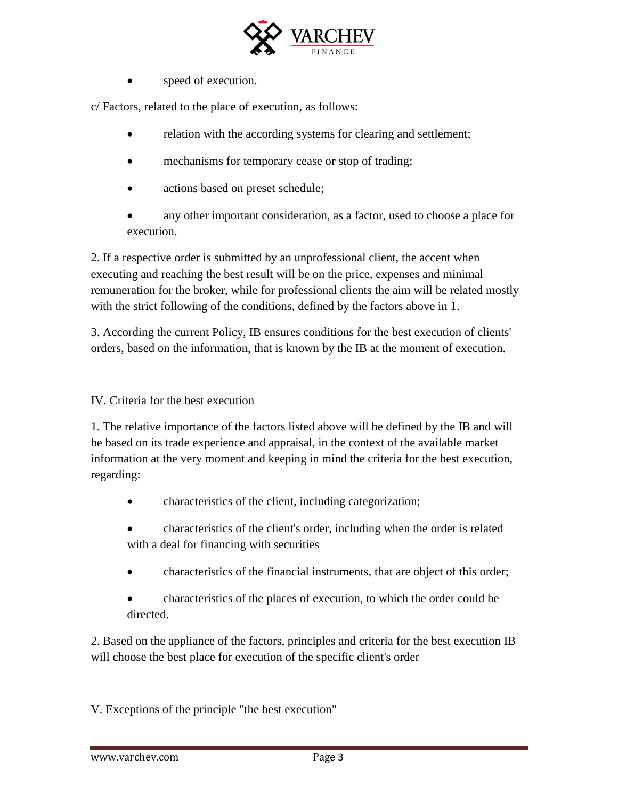

speed of execution.

c/ Factors, related to the place of execution, as follows:

- relation with the according systems for clearing and settlement;
- mechanisms for temporary cease or stop of trading;
- actions based on preset schedule;
- any other important consideration, as a factor, used to choose a place for execution.

2. If a respective order is submitted by an unprofessional client, the accent when executing and reaching the best result will be on the price, expenses and minimal remuneration for the broker, while for professional clients the aim will be related mostly with the strict following of the conditions, defined by the factors above in 1.

3. According the current Policy, IB ensures conditions for the best execution of clients' orders, based on the information, that is known by the IB at the moment of execution.

#### IV. Criteria for the best execution

1. The relative importance of the factors listed above will be defined by the IB and will be based on its trade experience and appraisal, in the context of the available market information at the very moment and keeping in mind the criteria for the best execution, regarding:

- characteristics of the client, including categorization;
- characteristics of the client's order, including when the order is related with a deal for financing with securities
- characteristics of the financial instruments, that are object of this order;
- characteristics of the places of execution, to which the order could be directed.

2. Based on the appliance of the factors, principles and criteria for the best execution IB will choose the best place for execution of the specific client's order

V. Exceptions of the principle "the best execution"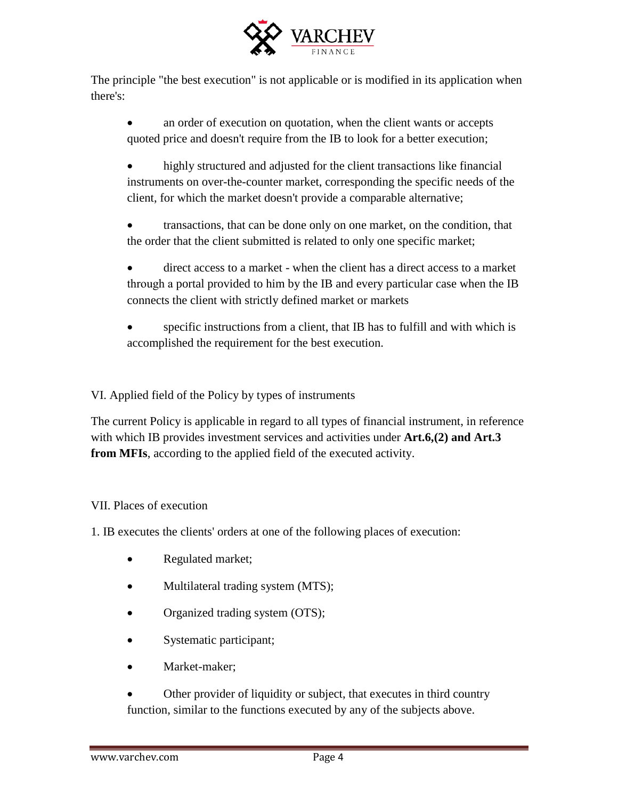

The principle "the best execution" is not applicable or is modified in its application when there's:

- an order of execution on quotation, when the client wants or accepts quoted price and doesn't require from the IB to look for a better execution;
- highly structured and adjusted for the client transactions like financial instruments on over-the-counter market, corresponding the specific needs of the client, for which the market doesn't provide a comparable alternative;
- transactions, that can be done only on one market, on the condition, that the order that the client submitted is related to only one specific market;
- direct access to a market when the client has a direct access to a market through а portal provided to him by the IB and every particular case when the IB connects the client with strictly defined market or markets
- specific instructions from a client, that IB has to fulfill and with which is accomplished the requirement for the best execution.

VI. Applied field of the Policy by types of instruments

The current Policy is applicable in regard to all types of financial instrument, in reference with which IB provides investment services and activities under **Art.6,(2) and Art.3 from MFIs**, according to the applied field of the executed activity.

# VII. Places of execution

1. IB executes the clients' orders at one of the following places of execution:

- Regulated market;
- Multilateral trading system (MTS);
- Organized trading system (OTS);
- Systematic participant;
- Market-maker;
- Other provider of liquidity or subject, that executes in third country function, similar to the functions executed by any of the subjects above.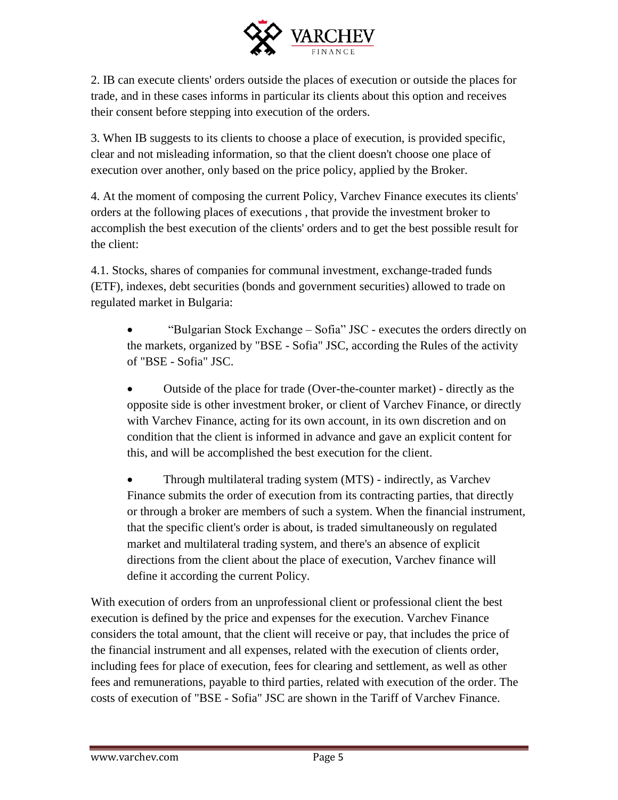

2. IB can execute clients' orders outside the places of execution or outside the places for trade, and in these cases informs in particular its clients about this option and receives their consent before stepping into execution of the orders.

3. When IB suggests to its clients to choose a place of execution, is provided specific, clear and not misleading information, so that the client doesn't choose one place of execution over another, only based on the price policy, applied by the Broker.

4. At the moment of composing the current Policy, Varchev Finance executes its clients' orders at the following places of executions , that provide the investment broker to accomplish the best execution of the clients' orders and to get the best possible result for the client:

4.1. Stocks, shares of companies for communal investment, exchange-traded funds (ETF), indexes, debt securities (bonds and government securities) allowed to trade on regulated market in Bulgaria:

 "Bulgarian Stock Exchange – Sofia" JSC - executes the orders directly on the markets, organized by "BSE - Sofia" JSC, according the Rules of the activity of "BSE - Sofia" JSC.

 Outside of the place for trade (Over-the-counter market) - directly as the opposite side is other investment broker, or client of Varchev Finance, or directly with Varchev Finance, acting for its own account, in its own discretion and on condition that the client is informed in advance and gave an explicit content for this, and will be accomplished the best execution for the client.

 Through multilateral trading system (MTS) - indirectly, as Varchev Finance submits the order of execution from its contracting parties, that directly or through a broker are members of such a system. When the financial instrument, that the specific client's order is about, is traded simultaneously on regulated market and multilateral trading system, and there's an absence of explicit directions from the client about the place of execution, Varchev finance will define it according the current Policy.

With execution of orders from an unprofessional client or professional client the best execution is defined by the price and expenses for the execution. Varchev Finance considers the total amount, that the client will receive or pay, that includes the price of the financial instrument and all expenses, related with the execution of clients order, including fees for place of execution, fees for clearing and settlement, as well as other fees and remunerations, payable to third parties, related with execution of the order. The costs of execution of "BSE - Sofia" JSC are shown in the Tariff of Varchev Finance.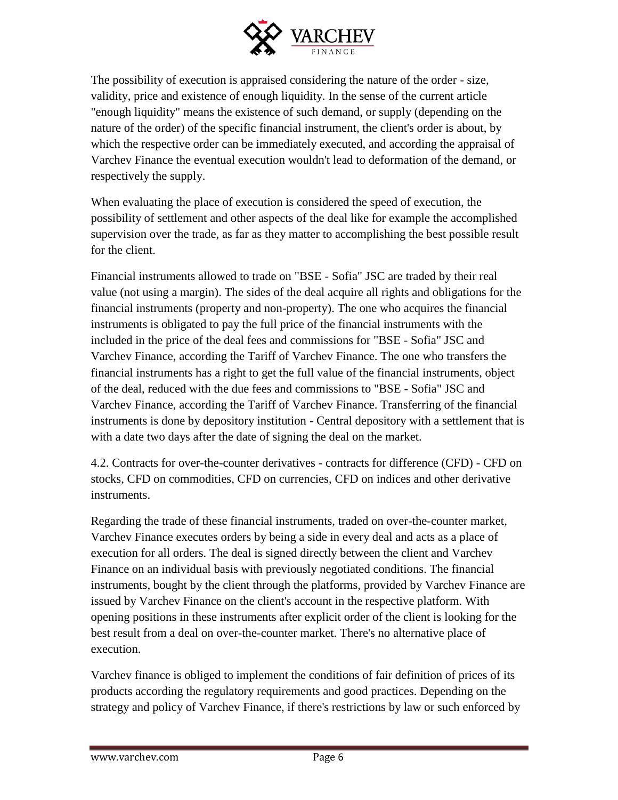

The possibility of execution is appraised considering the nature of the order - size, validity, price and existence of enough liquidity. In the sense of the current article "enough liquidity" means the existence of such demand, or supply (depending on the nature of the order) of the specific financial instrument, the client's order is about, by which the respective order can be immediately executed, and according the appraisal of Varchev Finance the eventual execution wouldn't lead to deformation of the demand, or respectively the supply.

When evaluating the place of execution is considered the speed of execution, the possibility of settlement and other aspects of the deal like for example the accomplished supervision over the trade, as far as they matter to accomplishing the best possible result for the client.

Financial instruments allowed to trade on "BSE - Sofia" JSC are traded by their real value (not using a margin). The sides of the deal acquire all rights and obligations for the financial instruments (property and non-property). The one who acquires the financial instruments is obligated to pay the full price of the financial instruments with the included in the price of the deal fees and commissions for "BSE - Sofia" JSC and Varchev Finance, according the Tariff of Varchev Finance. The one who transfers the financial instruments has a right to get the full value of the financial instruments, object of the deal, reduced with the due fees and commissions to "BSE - Sofia" JSC and Varchev Finance, according the Tariff of Varchev Finance. Transferring of the financial instruments is done by depository institution - Central depository with a settlement that is with a date two days after the date of signing the deal on the market.

4.2. Contracts for over-the-counter derivatives - contracts for difference (CFD) - CFD on stocks, CFD on commodities, CFD on currencies, CFD on indices and other derivative instruments.

Regarding the trade of these financial instruments, traded on over-the-counter market, Varchev Finance executes orders by being a side in every deal and acts as a place of execution for all orders. The deal is signed directly between the client and Varchev Finance on an individual basis with previously negotiated conditions. The financial instruments, bought by the client through the platforms, provided by Varchev Finance are issued by Varchev Finance on the client's account in the respective platform. With opening positions in these instruments after explicit order of the client is looking for the best result from a deal on over-the-counter market. There's no alternative place of execution.

Varchev finance is obliged to implement the conditions of fair definition of prices of its products according the regulatory requirements and good practices. Depending on the strategy and policy of Varchev Finance, if there's restrictions by law or such enforced by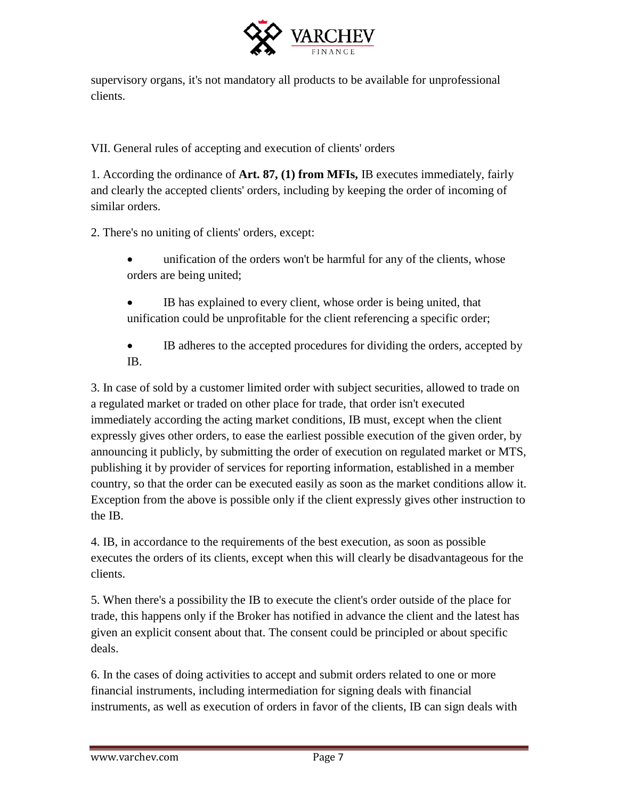

supervisory organs, it's not mandatory all products to be available for unprofessional clients.

VII. General rules of accepting and execution of clients' orders

1. According the ordinance of **Art. 87, (1) from MFIs,** IB executes immediately, fairly and clearly the accepted clients' orders, including by keeping the order of incoming of similar orders.

2. There's no uniting of clients' orders, except:

- unification of the orders won't be harmful for any of the clients, whose orders are being united;
- IB has explained to every client, whose order is being united, that unification could be unprofitable for the client referencing a specific order;
- IB adheres to the accepted procedures for dividing the orders, accepted by IB.

3. In case of sold by a customer limited order with subject securities, allowed to trade on a regulated market or traded on other place for trade, that order isn't executed immediately according the acting market conditions, IB must, except when the client expressly gives other orders, to ease the earliest possible execution of the given order, by announcing it publicly, by submitting the order of execution on regulated market or MTS, publishing it by provider of services for reporting information, established in a member country, so that the order can be executed easily as soon as the market conditions allow it. Exception from the above is possible only if the client expressly gives other instruction to the IB.

4. IB, in accordance to the requirements of the best execution, as soon as possible executes the orders of its clients, except when this will clearly be disadvantageous for the clients.

5. When there's a possibility the IB to execute the client's order outside of the place for trade, this happens only if the Broker has notified in advance the client and the latest has given an explicit consent about that. The consent could be principled or about specific deals.

6. In the cases of doing activities to accept and submit orders related to one or more financial instruments, including intermediation for signing deals with financial instruments, as well as execution of orders in favor of the clients, IB can sign deals with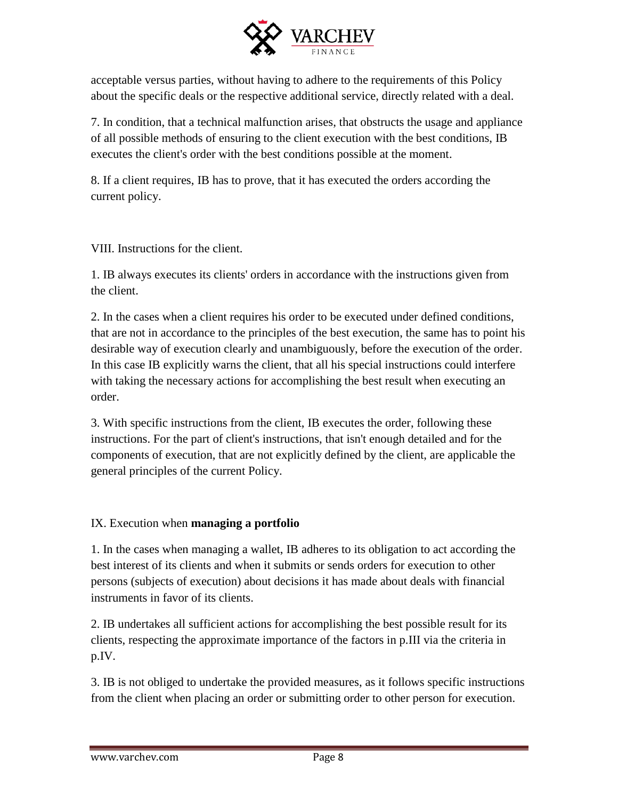

acceptable versus parties, without having to adhere to the requirements of this Policy about the specific deals or the respective additional service, directly related with a deal.

7. In condition, that a technical malfunction arises, that obstructs the usage and appliance of all possible methods of ensuring to the client execution with the best conditions, IB executes the client's order with the best conditions possible at the moment.

8. If a client requires, IB has to prove, that it has executed the orders according the current policy.

VIII. Instructions for the client.

1. IB always executes its clients' orders in accordance with the instructions given from the client.

2. In the cases when a client requires his order to be executed under defined conditions, that are not in accordance to the principles of the best execution, the same has to point his desirable way of execution clearly and unambiguously, before the execution of the order. In this case IB explicitly warns the client, that all his special instructions could interfere with taking the necessary actions for accomplishing the best result when executing an order.

3. With specific instructions from the client, IB executes the order, following these instructions. For the part of client's instructions, that isn't enough detailed and for the components of execution, that are not explicitly defined by the client, are applicable the general principles of the current Policy.

### IX. Execution when **managing a portfolio**

1. In the cases when managing a wallet, IB adheres to its obligation to act according the best interest of its clients and when it submits or sends orders for execution to other persons (subjects of execution) about decisions it has made about deals with financial instruments in favor of its clients.

2. IB undertakes all sufficient actions for accomplishing the best possible result for its clients, respecting the approximate importance of the factors in p.III via the criteria in p.IV.

3. IB is not obliged to undertake the provided measures, as it follows specific instructions from the client when placing an order or submitting order to other person for execution.